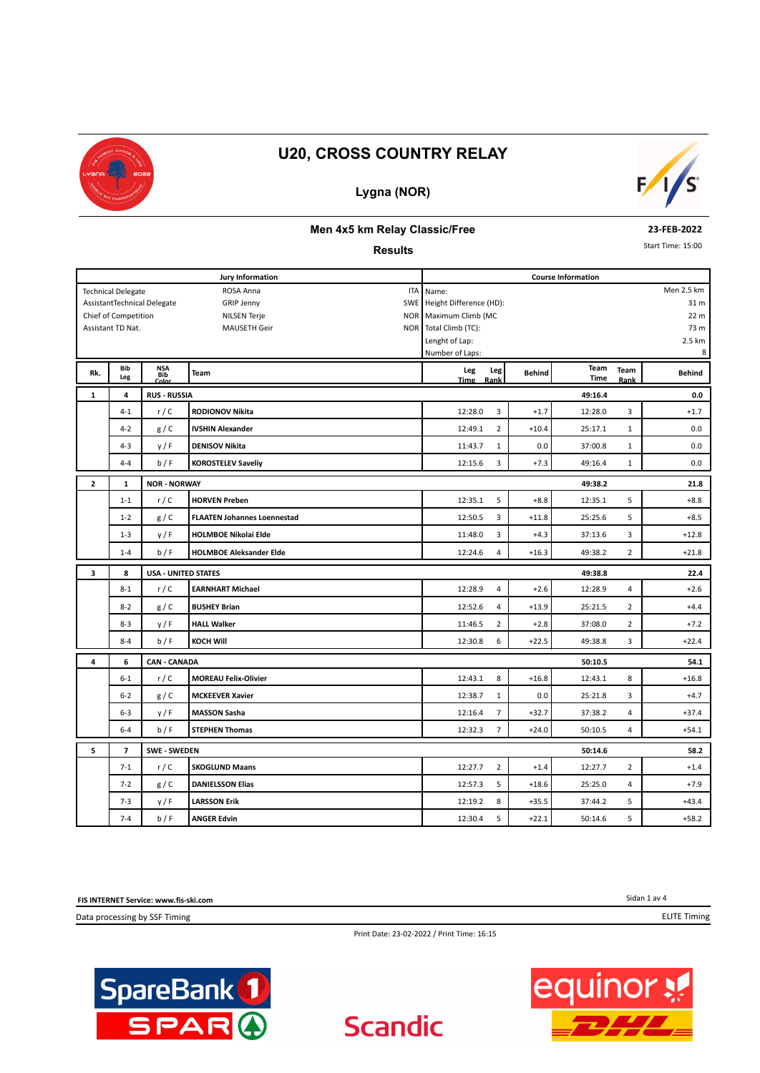

#### **Lygna (NOR)**



#### **Men 4x5 km Relay Classic/Free**

#### **Results**

**23-FEB-2022**

Start Time: 15:00

|              | <b>Jury Information</b>   |                             |                                    |                         |                | <b>Course Information</b> |                     |                |               |  |  |  |
|--------------|---------------------------|-----------------------------|------------------------------------|-------------------------|----------------|---------------------------|---------------------|----------------|---------------|--|--|--|
|              | <b>Technical Delegate</b> |                             | ROSA Anna<br>ITA                   | Men 2.5 km<br>Name:     |                |                           |                     |                |               |  |  |  |
|              |                           | AssistantTechnical Delegate | <b>GRIP Jenny</b><br>SWE           | Height Difference (HD): |                |                           |                     |                | 31 m          |  |  |  |
|              | Chief of Competition      |                             | <b>NILSEN Terje</b>                | NOR Maximum Climb (MC   |                |                           |                     |                | 22 m          |  |  |  |
|              | Assistant TD Nat.         |                             | <b>MAUSETH Geir</b>                | NOR Total Climb (TC):   |                |                           |                     |                | 73 m          |  |  |  |
|              |                           |                             |                                    | Lenght of Lap:          |                |                           |                     |                | 2.5 km        |  |  |  |
|              |                           |                             |                                    | Number of Laps:         |                |                           |                     |                | 8             |  |  |  |
| Rk.          | <b>Bib</b><br>Leg         | NSA<br>Bib<br>Color         | <b>Team</b>                        | Leg<br><b>Time</b>      | Leg<br>Rank    | <b>Behind</b>             | Team<br><b>Time</b> | Team<br>Rank   | <b>Behind</b> |  |  |  |
| 1            | 4                         | <b>RUS - RUSSIA</b>         |                                    |                         |                |                           | 49:16.4             |                | 0.0           |  |  |  |
|              | $4 - 1$                   | r/C                         | <b>RODIONOV Nikita</b>             | 12:28.0                 | 3              | $+1.7$                    | 12:28.0             | 3              | $+1.7$        |  |  |  |
|              | $4-2$                     | g/C                         | <b>IVSHIN Alexander</b>            | 12:49.1                 | $\overline{2}$ | $+10.4$                   | 25:17.1             | $\mathbf{1}$   | 0.0           |  |  |  |
|              | $4 - 3$                   | y/F                         | <b>DENISOV Nikita</b>              | 11:43.7                 | $\mathbf{1}$   | 0.0                       | 37:00.8             | $\mathbf{1}$   | 0.0           |  |  |  |
|              | $4 - 4$                   | b/F                         | <b>KOROSTELEV Saveliy</b>          | 12:15.6                 | 3              | $+7.3$                    | 49:16.4             | $\mathbf{1}$   | 0.0           |  |  |  |
| $\mathbf{z}$ | 1                         | <b>NOR - NORWAY</b>         |                                    |                         |                |                           | 49:38.2             |                | 21.8          |  |  |  |
|              | $1 - 1$                   | r/C                         | <b>HORVEN Preben</b>               | 12:35.1                 | 5              | $+8.8$                    | 12:35.1             | 5              | $+8.8$        |  |  |  |
|              | $1 - 2$                   | g/C                         | <b>FLAATEN Johannes Loennestad</b> | 12:50.5                 | 3              | $+11.8$                   | 25:25.6             | 5              | $+8.5$        |  |  |  |
|              | $1 - 3$                   | y/F                         | <b>HOLMBOE Nikolai Elde</b>        | 11:48.0                 | 3              | $+4.3$                    | 37:13.6             | 3              | $+12.8$       |  |  |  |
|              | $1 - 4$                   | b/F                         | <b>HOLMBOE Aleksander Elde</b>     | 12:24.6                 | $\overline{4}$ | $+16.3$                   | 49:38.2             | $\overline{2}$ | $+21.8$       |  |  |  |
| 3            | 8                         | <b>USA - UNITED STATES</b>  |                                    | 49:38.8                 |                |                           |                     |                |               |  |  |  |
|              | $8 - 1$                   | r/C                         | <b>EARNHART Michael</b>            | 12:28.9                 | 4              | $+2.6$                    | 12:28.9             | 4              | $+2.6$        |  |  |  |
|              | $8 - 2$                   | g/C                         | <b>BUSHEY Brian</b>                | 12:52.6                 | $\overline{4}$ | $+13.9$                   | 25:21.5             | $\overline{2}$ | $+4.4$        |  |  |  |
|              | $8 - 3$                   | y/F                         | <b>HALL Walker</b>                 | 11:46.5                 | $\overline{2}$ | $+2.8$                    | 37:08.0             | $\overline{2}$ | $+7.2$        |  |  |  |
|              | $8 - 4$                   | b/F                         | KOCH Will                          | 12:30.8                 | 6              | $+22.5$                   | 49:38.8             | 3              | $+22.4$       |  |  |  |
| 4            | 6                         | <b>CAN - CANADA</b>         |                                    |                         |                |                           | 50:10.5             |                | 54.1          |  |  |  |
|              | $6 - 1$                   | r/C                         | <b>MOREAU Felix-Olivier</b>        | 12:43.1                 | 8              | $+16.8$                   | 12:43.1             | 8              | $+16.8$       |  |  |  |
|              | $6 - 2$                   | g/C                         | <b>MCKEEVER Xavier</b>             | 12:38.7                 | $\mathbf{1}$   | 0.0                       | 25:21.8             | 3              | $+4.7$        |  |  |  |
|              | $6 - 3$                   | y/F                         | <b>MASSON Sasha</b>                | 12:16.4                 | $\overline{7}$ | $+32.7$                   | 37:38.2             | 4              | $+37.4$       |  |  |  |
|              | $6 - 4$                   | b/F                         | <b>STEPHEN Thomas</b>              | 12:32.3                 | $\overline{7}$ | $+24.0$                   | 50:10.5             | 4              | $+54.1$       |  |  |  |
| 5            | $\overline{\phantom{a}}$  | <b>SWE - SWEDEN</b>         |                                    |                         |                |                           | 50:14.6             |                | 58.2          |  |  |  |
|              | $7 - 1$                   | r/C                         | <b>SKOGLUND Maans</b>              | 12:27.7                 | $\overline{2}$ | $+1.4$                    | 12:27.7             | $\overline{2}$ | $+1.4$        |  |  |  |
|              | $7 - 2$                   | g / C                       | <b>DANIELSSON Elias</b>            | 12:57.3                 | 5              | $+18.6$                   | 25:25.0             | 4              | $+7.9$        |  |  |  |
|              | $7 - 3$                   | y/F                         | <b>LARSSON Erik</b>                | 12:19.2                 | 8              | $+35.5$                   | 37:44.2             | 5              | $+43.4$       |  |  |  |
|              | $7 - 4$                   | b/F                         | <b>ANGER Edvin</b>                 | 12:30.4                 | 5              | $+22.1$                   | 50:14.6             | 5              | $+58.2$       |  |  |  |

**FIS INTERNET Service: www.fis-ski.com**

Data processing by SSF Timing



Print Date: 23-02-2022 / Print Time: 16:15

**Scandic** 



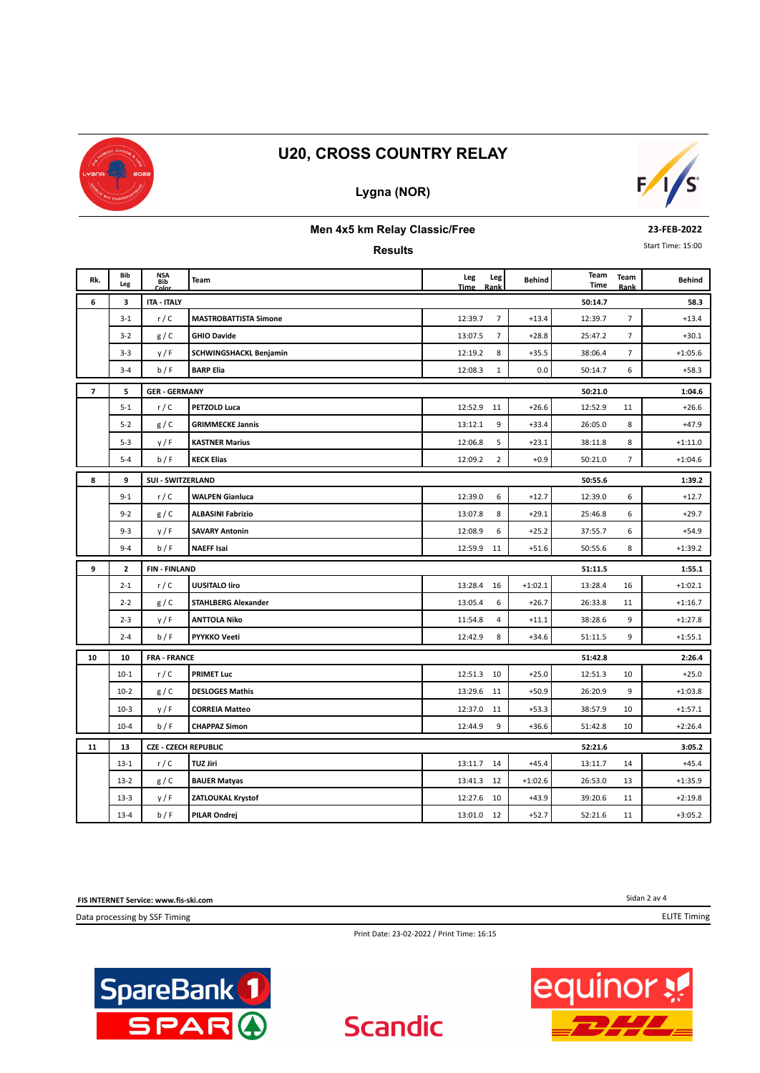

## **Lygna (NOR)**



#### **Men 4x5 km Relay Classic/Free**

**Results**

**23-FEB-2022**

Start Time: 15:00

| Rk.            | Bib<br>Leg   | <b>NSA</b><br><b>Bib</b><br>Color | Team                          | Leg<br>Leg<br><b>Time</b><br>Rank | Behind    | Team<br>Time | Team<br>Rank   | <b>Behind</b> |
|----------------|--------------|-----------------------------------|-------------------------------|-----------------------------------|-----------|--------------|----------------|---------------|
| 6              | 3            | <b>ITA - ITALY</b>                |                               |                                   |           | 50:14.7      |                | 58.3          |
|                | $3 - 1$      | r/C                               | <b>MASTROBATTISTA Simone</b>  | $\overline{7}$<br>12:39.7         | $+13.4$   | 12:39.7      | $\overline{7}$ | $+13.4$       |
|                | $3-2$        | g/C                               | <b>GHIO Davide</b>            | $\overline{7}$<br>13:07.5         | $+28.8$   | 25:47.2      | $\overline{7}$ | $+30.1$       |
|                | $3 - 3$      | y/F                               | <b>SCHWINGSHACKL Benjamin</b> | 12:19.2<br>8                      | $+35.5$   | 38:06.4      | $\overline{7}$ | $+1:05.6$     |
|                | $3 - 4$      | b/F                               | <b>BARP Elia</b>              | 12:08.3<br>$\mathbf{1}$           | 0.0       | 50:14.7      | 6              | $+58.3$       |
| $\overline{7}$ | 5            | <b>GER - GERMANY</b>              |                               |                                   |           | 50:21.0      |                | 1:04.6        |
|                | $5 - 1$      | r/C                               | PETZOLD Luca                  | 12:52.9<br>11                     | $+26.6$   | 12:52.9      | 11             | $+26.6$       |
|                | $5 - 2$      | g/C                               | <b>GRIMMECKE Jannis</b>       | 9<br>13:12.1                      | $+33.4$   | 26:05.0      | 8              | $+47.9$       |
|                | $5 - 3$      | y/F                               | <b>KASTNER Marius</b>         | 5<br>12:06.8                      | $+23.1$   | 38:11.8      | 8              | $+1:11.0$     |
|                | $5 - 4$      | b/F                               | <b>KECK Elias</b>             | 12:09.2<br>$\overline{2}$         | $+0.9$    | 50:21.0      | $\overline{7}$ | $+1:04.6$     |
| 8              | 9            | <b>SUI - SWITZERLAND</b>          |                               |                                   |           | 50:55.6      |                | 1:39.2        |
|                | $9 - 1$      | r/C                               | <b>WALPEN Gianluca</b>        | 6<br>12:39.0                      | $+12.7$   | 12:39.0      | 6              | $+12.7$       |
|                | $9 - 2$      | g/C                               | <b>ALBASINI Fabrizio</b>      | 8<br>13:07.8                      | $+29.1$   | 25:46.8      | 6              | $+29.7$       |
|                | $9 - 3$      | y/F                               | <b>SAVARY Antonin</b>         | 6<br>12:08.9                      | $+25.2$   | 37:55.7      | 6              | $+54.9$       |
|                | $9 - 4$      | b/F                               | <b>NAEFF Isai</b>             | 12:59.9<br>11                     | $+51.6$   | 50:55.6      | 8              | $+1:39.2$     |
| 9              | $\mathbf{z}$ | <b>FIN-FINLAND</b>                |                               |                                   |           | 51:11.5      |                | 1:55.1        |
|                | $2 - 1$      | r/C                               | <b>UUSITALO liro</b>          | 13:28.4<br>16                     | $+1:02.1$ | 13:28.4      | 16             | $+1:02.1$     |
|                | $2 - 2$      | g/C                               | <b>STAHLBERG Alexander</b>    | 13:05.4<br>6                      | $+26.7$   | 26:33.8      | 11             | $+1:16.7$     |
|                | $2 - 3$      | y/F                               | <b>ANTTOLA Niko</b>           | 11:54.8<br>4                      | $+11.1$   | 38:28.6      | 9              | $+1:27.8$     |
|                | $2 - 4$      | b/F                               | PYYKKO Veeti                  | 8<br>12:42.9                      | $+34.6$   | 51:11.5      | 9              | $+1:55.1$     |
| 10             | 10           | <b>FRA - FRANCE</b>               |                               |                                   |           | 51:42.8      |                | 2:26.4        |
|                | $10 - 1$     | r/C                               | <b>PRIMET Luc</b>             | 12:51.3<br>10                     | $+25.0$   | 12:51.3      | 10             | $+25.0$       |
|                | $10-2$       | g/C                               | <b>DESLOGES Mathis</b>        | 13:29.6<br>11                     | $+50.9$   | 26:20.9      | 9              | $+1:03.8$     |
|                | $10-3$       | y/F                               | <b>CORREIA Matteo</b>         | 12:37.0<br>11                     | $+53.3$   | 38:57.9      | 10             | $+1:57.1$     |
|                | $10 - 4$     | b/F                               | <b>CHAPPAZ Simon</b>          | 9<br>12:44.9                      | $+36.6$   | 51:42.8      | 10             | $+2:26.4$     |
| 11             | 13           | <b>CZE - CZECH REPUBLIC</b>       |                               |                                   |           | 52:21.6      |                | 3:05.2        |
|                | $13-1$       | r/C                               | TUZ Jiri                      | 13:11.7<br>14                     | $+45.4$   | 13:11.7      | 14             | $+45.4$       |
|                | $13 - 2$     | g/C                               | <b>BAUER Matyas</b>           | 13:41.3<br>12                     | $+1:02.6$ | 26:53.0      | 13             | $+1:35.9$     |
|                | $13-3$       | y/F                               | ZATLOUKAL Krystof             | 12:27.6<br>10                     | $+43.9$   | 39:20.6      | 11             | $+2:19.8$     |
|                | $13 - 4$     | b/F                               | <b>PILAR Ondrej</b>           | 13:01.0<br>12                     | $+52.7$   | 52:21.6      | 11             | $+3:05.2$     |

**FIS INTERNET Service: www.fis-ski.com**

Data processing by SSF Timing



Print Date: 23-02-2022 / Print Time: 16:15

**Scandic** 



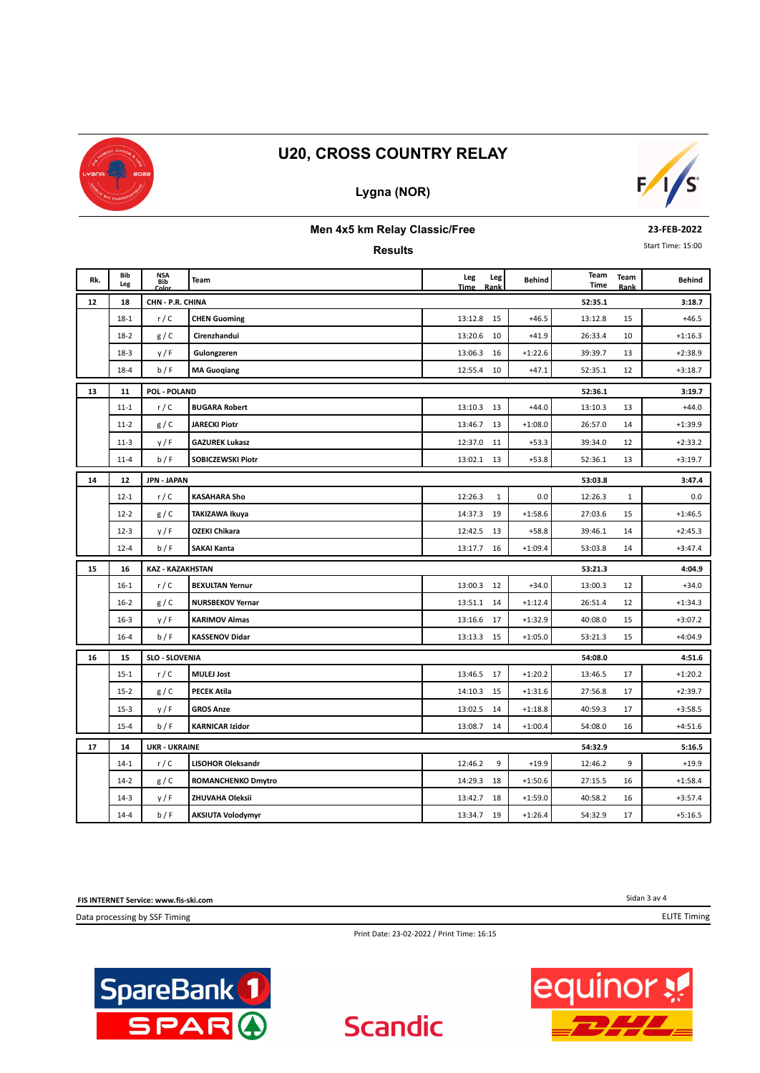

## **Lygna (NOR)**



#### **Men 4x5 km Relay Classic/Free**

**Results**

**23-FEB-2022**

Start Time: 15:00

| Rk. | Bib      | NSA<br>Bib            | Team                      | Leg         | Leg         | <b>Behind</b> | Team    | Team         | <b>Behind</b> |
|-----|----------|-----------------------|---------------------------|-------------|-------------|---------------|---------|--------------|---------------|
|     | Leg      | Color                 |                           | <b>Time</b> | Rank        |               | Time    | Rank         |               |
| 12  | 18       | CHN - P.R. CHINA      |                           |             |             |               | 52:35.1 |              | 3:18.7        |
|     | $18-1$   | r/C                   | <b>CHEN Guoming</b>       | 13:12.8     | 15          | $+46.5$       | 13:12.8 | 15           | $+46.5$       |
|     | $18-2$   | g/C                   | Cirenzhandui              | 13:20.6     | 10          | $+41.9$       | 26:33.4 | 10           | $+1:16.3$     |
|     | $18-3$   | y/F                   | Gulongzeren               | 13:06.3     | 16          | $+1:22.6$     | 39:39.7 | 13           | $+2:38.9$     |
|     | $18 - 4$ | b/F                   | <b>MA Guoqiang</b>        | 12:55.4     | 10          | $+47.1$       | 52:35.1 | 12           | $+3:18.7$     |
| 13  | 11       | POL - POLAND          |                           |             |             |               | 52:36.1 |              | 3:19.7        |
|     | $11 - 1$ | r/C                   | <b>BUGARA Robert</b>      | 13:10.3     | 13          | $+44.0$       | 13:10.3 | 13           | $+44.0$       |
|     | $11 - 2$ | g/C                   | <b>JARECKI Piotr</b>      | 13:46.7     | 13          | $+1:08.0$     | 26:57.0 | 14           | $+1:39.9$     |
|     | $11-3$   | y/F                   | <b>GAZUREK Lukasz</b>     | 12:37.0     | 11          | $+53.3$       | 39:34.0 | 12           | $+2:33.2$     |
|     | $11 - 4$ | b/F                   | SOBICZEWSKI Piotr         | 13:02.1     | 13          | $+53.8$       | 52:36.1 | 13           | $+3:19.7$     |
| 14  | 12       | <b>JPN - JAPAN</b>    |                           |             |             |               | 53:03.8 | 3:47.4       |               |
|     | $12 - 1$ | r/C                   | <b>KASAHARA Sho</b>       | 12:26.3     | $\mathbf 1$ | 0.0           | 12:26.3 | $\mathbf{1}$ | 0.0           |
|     | $12 - 2$ | g/C                   | <b>TAKIZAWA Ikuya</b>     | 14:37.3     | 19          | $+1:58.6$     | 27:03.6 | 15           | $+1:46.5$     |
|     | $12-3$   | y/F                   | <b>OZEKI Chikara</b>      | 12:42.5     | 13          | $+58.8$       | 39:46.1 | 14           | $+2:45.3$     |
|     | $12 - 4$ | b/F                   | <b>SAKAI Kanta</b>        | 13:17.7     | 16          | $+1:09.4$     | 53:03.8 | 14           | $+3:47.4$     |
| 15  | 16       | KAZ - KAZAKHSTAN      |                           |             |             |               | 53:21.3 |              | 4:04.9        |
|     | $16-1$   | r/C                   | <b>BEXULTAN Yernur</b>    | 13:00.3     | 12          | $+34.0$       | 13:00.3 | 12           | $+34.0$       |
|     | $16 - 2$ | g/C                   | <b>NURSBEKOV Yernar</b>   | 13:51.1     | 14          | $+1:12.4$     | 26:51.4 | 12           | $+1:34.3$     |
|     | $16 - 3$ | y/F                   | <b>KARIMOV Almas</b>      | 13:16.6     | 17          | $+1:32.9$     | 40:08.0 | 15           | $+3:07.2$     |
|     | $16 - 4$ | b/F                   | <b>KASSENOV Didar</b>     | 13:13.3     | 15          | $+1:05.0$     | 53:21.3 | 15           | $+4:04.9$     |
| 16  | 15       | <b>SLO - SLOVENIA</b> |                           |             |             |               | 54:08.0 |              | 4:51.6        |
|     | $15 - 1$ | r/C                   | <b>MULEJ Jost</b>         | 13:46.5     | 17          | $+1:20.2$     | 13:46.5 | 17           | $+1:20.2$     |
|     | $15-2$   | g/C                   | <b>PECEK Atila</b>        | 14:10.3     | 15          | $+1:31.6$     | 27:56.8 | 17           | $+2:39.7$     |
|     | $15 - 3$ | y/F                   | <b>GROS Anze</b>          | 13:02.5     | 14          | $+1:18.8$     | 40:59.3 | 17           | $+3:58.5$     |
|     | $15 - 4$ | b/F                   | <b>KARNICAR Izidor</b>    | 13:08.7     | 14          | $+1:00.4$     | 54:08.0 | 16           | $+4:51.6$     |
| 17  | 14       | <b>UKR - UKRAINE</b>  |                           |             |             |               | 54:32.9 |              | 5:16.5        |
|     | $14-1$   | r/C                   | <b>LISOHOR Oleksandr</b>  | 12:46.2     | 9           | $+19.9$       | 12:46.2 | 9            | $+19.9$       |
|     | $14-2$   | g/C                   | <b>ROMANCHENKO Dmytro</b> | 14:29.3     | 18          | $+1:50.6$     | 27:15.5 | 16           | $+1:58.4$     |
|     | $14-3$   | y/F                   | ZHUVAHA Oleksii           | 13:42.7     | 18          | $+1:59.0$     | 40:58.2 | 16           | $+3:57.4$     |
|     | $14 - 4$ | b/F                   | <b>AKSIUTA Volodymyr</b>  | 13:34.7     | 19          | $+1:26.4$     | 54:32.9 | 17           | $+5:16.5$     |

**FIS INTERNET Service: www.fis-ski.com**

Data processing by SSF Timing

Sidan 3 av 4 ELITE Timing

Print Date: 23-02-2022 / Print Time: 16:15

**Scandic**